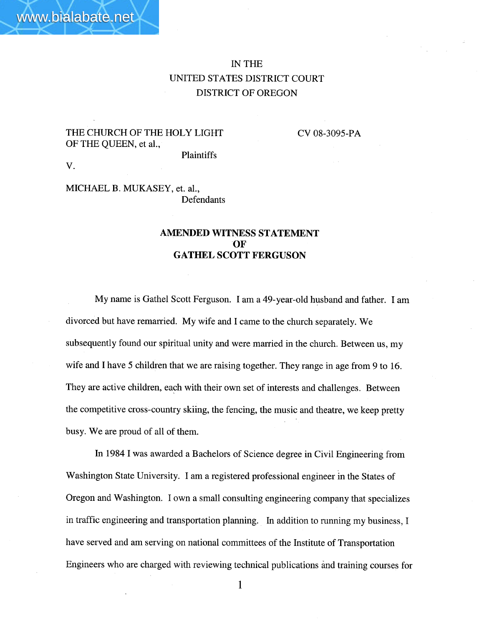# IN THE UNITED STATES DISTRICT COURT DISTRICT OF OREGON

### THE CHURCH OF THE HOLY LIGHT OF THE QUEEN, et aI.,

CV 08-3095-PA

Plaintiffs

v.

#### MICHAEL B. MUKASEY, et. aI., Defendants

### AMENDED WITNESS STATEMENT OF GATHEL SCOTT FERGUSON

My name is Gathel Scott Ferguson. I am a 49-year-old husband and father. I am divorced but have remarried. My wife and I came to the church separately. We subsequently found our spiritual unity and were married in the church. Between us, my wife and I have 5 children that we are raising together. They range in age from 9 to 16. They are active children, each with their own set of interests and challenges. Between the competitive cross-country skiing, the fencing, the music and theatre, we keep pretty busy. We are proud of all of them.

In 1984 I was awarded a Bachelors of Science degree in Civil Engineering from Washington State University. I am a registered professional engineer in the States of Oregon and Washington. I own a small consulting engineering company that specializes in traffic engineering and transportation planning. In addition to running my business, I have served and am serving on national committees of the Institute of Transportation Engineers who are charged with reviewing technical publications ànd training courses for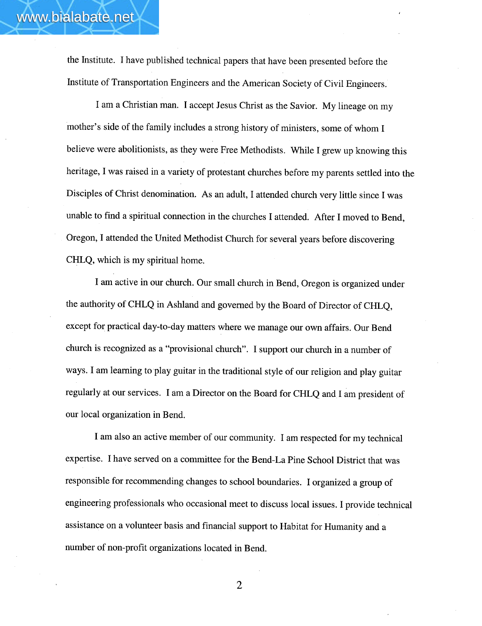the Institute. I have published technical papers that have been presented before the Institute of Transportation Engineers and the American Society of Civil Engineers.

www.bialabate.net

I am a Christian man. I accept Jesus Christ as the Savior. My lineage on my mother's side of the family includes a strong history of ministers, some of whom I believe were abolitionists, as they were Free Methodists. While I grew up knowing this heritage, I was raised in a variety of protestant churches before my parents settled into the Disciples of Christ denomination. As an adult, I attended church very little since I was unable to find a spiritual connection in the churches I attended. After I moved to Bend, Oregon, I attended the United Methodist Church for several years before discovering CHLQ, which is my spiritual home.

I am active in our church. Our small church in Bend, Oregon is organized under the authority of CHLQ in Ashland and governed by the Board of Director of CHLQ, eXcept for practical day-to-day matters where we manage our own affairs. Our Bend church is recognized as a "provisional church". I support our church in a number of ways. I am learning to play guitar in the traditional style of our religion and play guitar regularly at our services. I am a Director on the Board for CHLQ and I am president of our local organization in Bend.

I am also an active member of our community. I am respected for my technical expertise. I have served on a committee for the Bend-La Pine School District that was responsible for recommending changes to school boundaries. I organized a group of engineering professionals who occasional meet to discuss local issues. I provide technical assistance on a volunteer basis and financial support to Habitat for Humanity and a number of non-profit organizations located in Bend.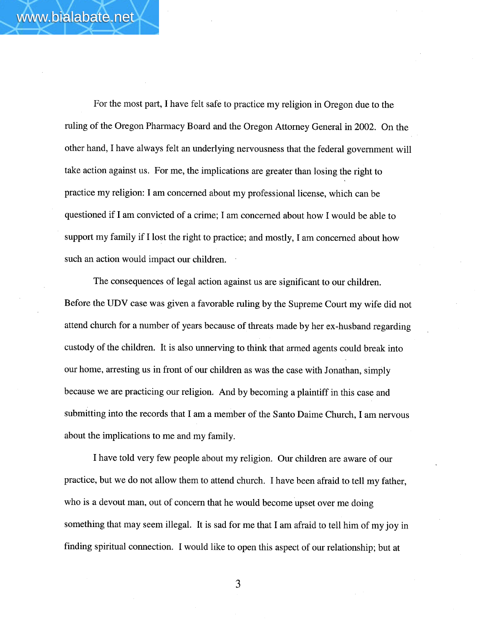For the most part, I have felt safe to practice my religion in Oregon due to the ruling of the Oregon Pharmacy Board and the Oregon Attorney General in 2002. On the other hand, I have always felt an underlying nervousness that the federal government wil take action against us. For me, the implications are greater than losing the right to practice my religion: I am concerned about my professional license, which can be questioned if I am convicted of a crime; I am concerned about how I would be able to support my family if I lost the right to practice; and mostly, I am concerned about how such an action would impact our children.

The consequences of legal action against us are significant to our children. Before the UDV case was given a favorable ruling by the Supreme Court my wife did not attend church for a number of years because of threats made by her ex-husband regarding custody of the children. It is also unnerving to think that armed agents could break into our home, arresting us in front of our children as was the case with Jonathan, simply because we are practicing our religion. And by becoming a plaintiff in this case and submitting into the records that I am a member of the Santo Daime Church, I am nervous about the implications to me and my family.

I have told very few people about my religion. Our children are aware of our practice, but we do not allow them to attend church. I have been afraid to tell my father, who is a devout man, out of concern that he would become upset over me doing something that may seem illegal. It is sad for me that I am afraid to tell him of my joy in finding spiritual connection. I would like to open this aspect of our relationship; but at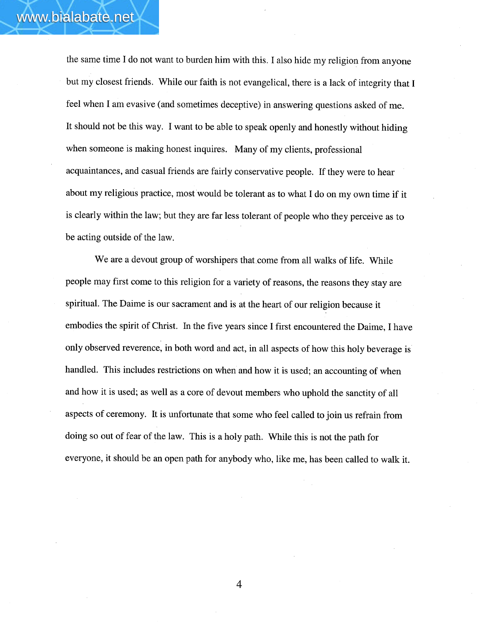the same time I do not want to burden him with this. I also hide my religion from anyone but my closest friends. While our faith is not evangelical, there is a lack of integrity that I feel when I am evasive (and sometimes deceptive) in answering questions asked of me. It should not be this way. I want to be able to speak openly and honestly without hiding when someone is making honest inquires. Many of my clients, professional acquaintances, and casual friends are fairly conservative people. If they were to hear about my religious practice, most would be tolerant as to what I do on my own time if it is clearly within the law; but they are far less tolerant of people who they perceive as to be acting outside of the law.

We are a devout group of worshipers that come from all walks of life. While people may first come to this religion for a variety of reasons, the reasons they stay are spirituaL. The Daime is our sacrament and is at the heart of our religion because it embodies the spirit of Christ. In the five years since I first encountered the Daime, I have only observed reverence, in both word and act, in all aspects of how this holy beverage is handled. This includes restrictions on when and how it is used; an accounting of when and how it is used; as well as a core of devout members who uphold the sanctity of all aspects of ceremony. It is unfortunate that some who feel called to join us refrain from doing so out of fear of the law. This is a holy path. While this is not the path for everyone, it should be an open path for anybody who, like me, has been called to walk it.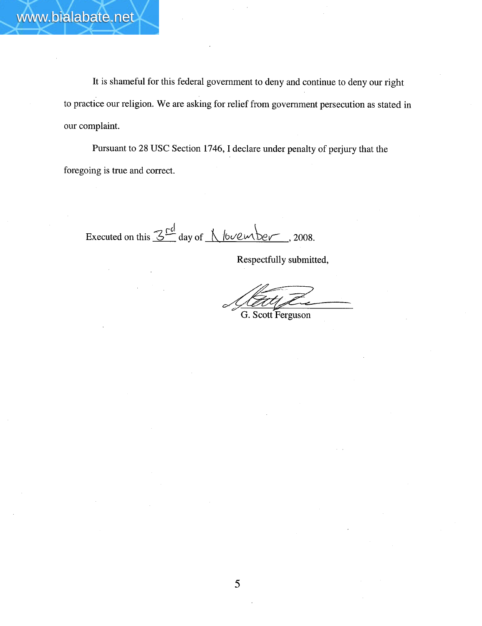It is shameful for this federal government to deny and continue to deny our right to practice our religion. We are asking for relief from government persecution as stated in our complaint.

Pursuant to 28 USC Section 1746, I declare under penalty of perjury that the foregoing is true and correct.

Executed on this  $3<sup>rd</sup>$  day of  $\bigwedge$  /0 $\vee$  ember, 2008.

Respectfully submitted,

 $\sqrt{\frac{1}{G}}$ G. Scott Ferguson